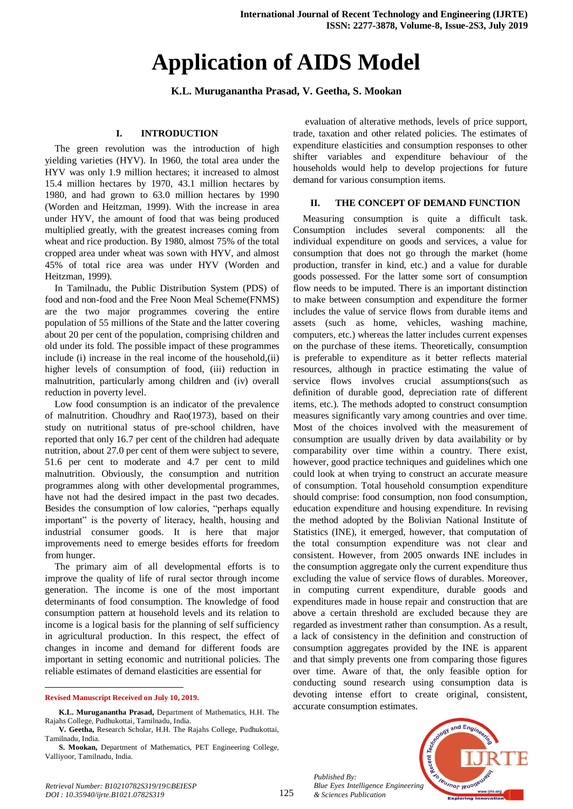# **Application of AIDS Model**

## **K.L. Muruganantha Prasad, V. Geetha, S. Mookan**

## **I. INTRODUCTION**

The green revolution was the introduction of high yielding varieties (HYV). In 1960, the total area under the HYV was only 1.9 million hectares; it increased to almost 15.4 million hectares by 1970, 43.1 million hectares by 1980, and had grown to 63.0 million hectares by 1990 (Worden and Heitzman, 1999). With the increase in area under HYV, the amount of food that was being produced multiplied greatly, with the greatest increases coming from wheat and rice production. By 1980, almost 75% of the total cropped area under wheat was sown with HYV, and almost 45% of total rice area was under HYV (Worden and Heitzman, 1999).

In Tamilnadu, the Public Distribution System (PDS) of food and non-food and the Free Noon Meal Scheme(FNMS) are the two major programmes covering the entire population of 55 millions of the State and the latter covering about 20 per cent of the population, comprising children and old under its fold. The possible impact of these programmes include (i) increase in the real income of the household,(ii) higher levels of consumption of food, (iii) reduction in malnutrition, particularly among children and (iv) overall reduction in poverty level.

Low food consumption is an indicator of the prevalence of malnutrition. Choudhry and Rao(1973), based on their study on nutritional status of pre-school children, have reported that only 16.7 per cent of the children had adequate nutrition, about 27.0 per cent of them were subject to severe, 51.6 per cent to moderate and 4.7 per cent to mild malnutrition. Obviously, the consumption and nutrition programmes along with other developmental programmes, have not had the desired impact in the past two decades. Besides the consumption of low calories, "perhaps equally important" is the poverty of literacy, health, housing and industrial consumer goods. It is here that major improvements need to emerge besides efforts for freedom from hunger.

The primary aim of all developmental efforts is to improve the quality of life of rural sector through income generation. The income is one of the most important determinants of food consumption. The knowledge of food consumption pattern at household levels and its relation to income is a logical basis for the planning of self sufficiency in agricultural production. In this respect, the effect of changes in income and demand for different foods are important in setting economic and nutritional policies. The reliable estimates of demand elasticities are essential for

#### **Revised Manuscript Received on July 10, 2019.**

evaluation of alterative methods, levels of price support, trade, taxation and other related policies. The estimates of expenditure elasticities and consumption responses to other shifter variables and expenditure behaviour of the households would help to develop projections for future demand for various consumption items.

### **II. THE CONCEPT OF DEMAND FUNCTION**

Measuring consumption is quite a difficult task. Consumption includes several components: all the individual expenditure on goods and services, a value for consumption that does not go through the market (home production, transfer in kind, etc.) and a value for durable goods possessed. For the latter some sort of consumption flow needs to be imputed. There is an important distinction to make between consumption and expenditure the former includes the value of service flows from durable items and assets (such as home, vehicles, washing machine, computers, etc.) whereas the latter includes current expenses on the purchase of these items. Theoretically, consumption is preferable to expenditure as it better reflects material resources, although in practice estimating the value of service flows involves crucial assumptions(such as definition of durable good, depreciation rate of different items, etc.). The methods adopted to construct consumption measures significantly vary among countries and over time. Most of the choices involved with the measurement of consumption are usually driven by data availability or by comparability over time within a country. There exist, however, good practice techniques and guidelines which one could look at when trying to construct an accurate measure of consumption. Total household consumption expenditure should comprise: food consumption, non food consumption, education expenditure and housing expenditure. In revising the method adopted by the Bolivian National Institute of Statistics (INE), it emerged, however, that computation of the total consumption expenditure was not clear and consistent. However, from 2005 onwards INE includes in the consumption aggregate only the current expenditure thus excluding the value of service flows of durables. Moreover, in computing current expenditure, durable goods and expenditures made in house repair and construction that are above a certain threshold are excluded because they are regarded as investment rather than consumption. As a result, a lack of consistency in the definition and construction of consumption aggregates provided by the INE is apparent and that simply prevents one from comparing those figures over time. Aware of that, the only feasible option for conducting sound research using consumption data is devoting intense effort to create original, consistent, accurate consumption estimates.

*Published By: Blue Eyes Intelligence Engineering & Sciences Publication* 



**K.L. Muruganantha Prasad,** Department of Mathematics, H.H. The Rajahs College, Pudhukottai, Tamilnadu, India.

**V. Geetha,** Research Scholar, H.H. The Rajahs College, Pudhukottai, Tamilnadu, India.

**S. Mookan,** Department of Mathematics, PET Engineering College, Valliyoor, Tamilnadu, India.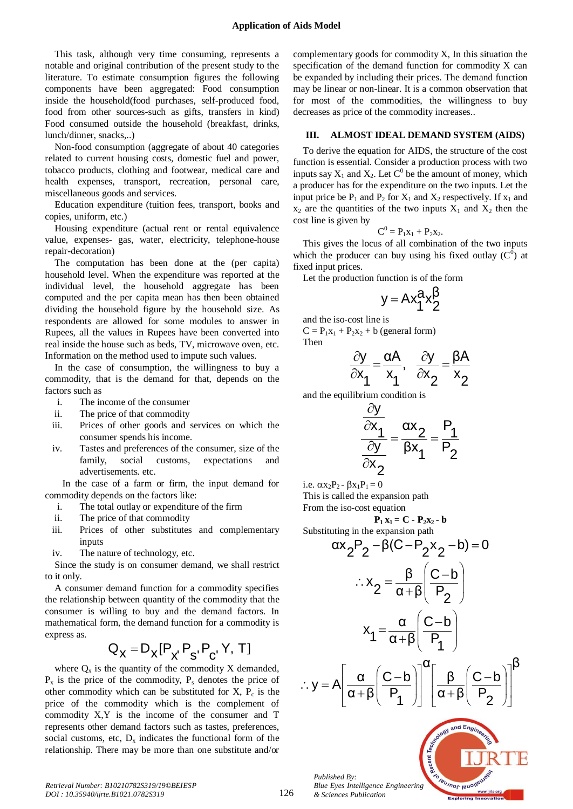This task, although very time consuming, represents a notable and original contribution of the present study to the literature. To estimate consumption figures the following components have been aggregated: Food consumption inside the household(food purchases, self-produced food, food from other sources-such as gifts, transfers in kind) Food consumed outside the household (breakfast, drinks, lunch/dinner, snacks,..)

Non-food consumption (aggregate of about 40 categories related to current housing costs, domestic fuel and power, tobacco products, clothing and footwear, medical care and health expenses, transport, recreation, personal care, miscellaneous goods and services.

Education expenditure (tuition fees, transport, books and copies, uniform, etc.)

Housing expenditure (actual rent or rental equivalence value, expenses- gas, water, electricity, telephone-house repair-decoration)

The computation has been done at the (per capita) household level. When the expenditure was reported at the individual level, the household aggregate has been computed and the per capita mean has then been obtained dividing the household figure by the household size. As respondents are allowed for some modules to answer in Rupees, all the values in Rupees have been converted into real inside the house such as beds, TV, microwave oven, etc. Information on the method used to impute such values.

In the case of consumption, the willingness to buy a commodity, that is the demand for that, depends on the factors such as

- i. The income of the consumer
- ii. The price of that commodity
- iii. Prices of other goods and services on which the consumer spends his income.
- iv. Tastes and preferences of the consumer, size of the family, social customs, expectations and advertisements. etc.

In the case of a farm or firm, the input demand for commodity depends on the factors like:

- i. The total outlay or expenditure of the firm
- ii. The price of that commodity
- iii. Prices of other substitutes and complementary inputs
- iv. The nature of technology, etc.

Since the study is on consumer demand, we shall restrict to it only.

A consumer demand function for a commodity specifies the relationship between quantity of the commodity that the consumer is willing to buy and the demand factors. In mathematical form, the demand function for a commodity is express as.

$$
\mathbf{Q}_{\mathbf{X}} = \mathbf{D}_{\mathbf{X}} [\mathbf{P}_{\mathbf{X}^{\prime}} \mathbf{P}_{\mathbf{S}^{\prime}} \mathbf{P}_{\mathbf{C}^{\prime}} \mathbf{Y}, \mathbf{T}]
$$

where  $Q_x$  is the quantity of the commodity X demanded,  $P_x$  is the price of the commodity,  $P_s$  denotes the price of other commodity which can be substituted for  $X$ ,  $P_c$  is the price of the commodity which is the complement of commodity X,Y is the income of the consumer and T represents other demand factors such as tastes, preferences, social customs, etc,  $D_x$  indicates the functional form of the relationship. There may be more than one substitute and/or

complementary goods for commodity X, In this situation the specification of the demand function for commodity X can be expanded by including their prices. The demand function may be linear or non-linear. It is a common observation that for most of the commodities, the willingness to buy decreases as price of the commodity increases..

### **III. ALMOST IDEAL DEMAND SYSTEM (AIDS)**

To derive the equation for AIDS, the structure of the cost function is essential. Consider a production process with two inputs say  $X_1$  and  $X_2$ . Let  $C^0$  be the amount of money, which a producer has for the expenditure on the two inputs. Let the input price be  $P_1$  and  $P_2$  for  $X_1$  and  $X_2$  respectively. If  $x_1$  and  $x_2$  are the quantities of the two inputs  $X_1$  and  $X_2$  then the cost line is given by

$$
\boldsymbol{C}^0 = \boldsymbol{P}_1\boldsymbol{x}_1 + \boldsymbol{P}_2\boldsymbol{x}_2.
$$

This gives the locus of all combination of the two inputs which the producer can buy using his fixed outlay  $(C^0)$  at fixed input prices.

Let the production function is of the form

$$
y = A x_1^a x_2^\beta
$$

and the iso-cost line is  $C = P_1x_1 + P_2x_2 + b$  (general form) Then

$$
\frac{\partial y}{\partial x_1} = \frac{\alpha A}{x_1}, \quad \frac{\partial y}{\partial x_2} = \frac{\beta A}{x_2}
$$

and the equilibrium condition is

$$
\frac{\frac{\partial y}{\partial x_1}}{\frac{\partial y}{\partial x_2}} = \frac{\alpha x_2}{\beta x_1} = \frac{P_1}{P_2}
$$

i.e.  $\alpha x_2P_2 - \beta x_1P_1 = 0$ 

This is called the expansion path From the iso-cost equation

 $P_1 x_1 = C - P_2 x_2 - b$ Substituting in the expansion path

$$
\alpha x_2 P_2 - \beta (C - P_2 x_2 - b) = 0
$$
  

$$
\therefore x_2 = \frac{\beta}{\alpha + \beta} \left( \frac{C - b}{P_2} \right)
$$
  

$$
x_1 = \frac{\alpha}{\alpha + \beta} \left( \frac{C - b}{P_1} \right)
$$
  

$$
\therefore y = A \left[ \frac{\alpha}{\alpha + \beta} \left( \frac{C - b}{P_1} \right) \right]^{\alpha} \left[ \frac{\beta}{\alpha + \beta} \left( \frac{C - b}{P_2} \right) \right]^{\beta}
$$

**Leusnor lenoite** 

*Published By: Blue Eyes Intelligence Engineering & Sciences Publication*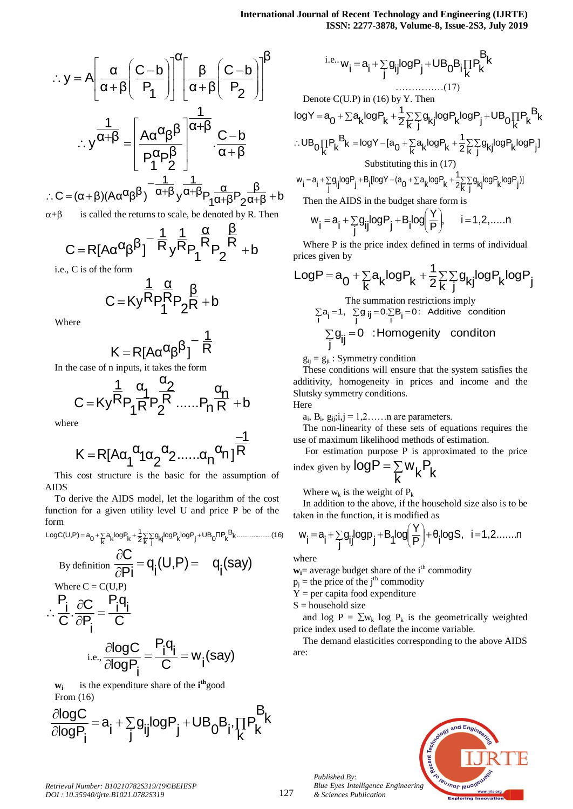$$
\therefore y = A \left[ \frac{\alpha}{\alpha + \beta} \left( \frac{C - b}{P_1} \right) \right]^{\alpha} \left[ \frac{\beta}{\alpha + \beta} \left( \frac{C - b}{P_2} \right) \right]^{\beta}
$$

$$
\therefore y^{\frac{1}{\alpha + \beta}} = \left[ \frac{A \alpha^{\alpha} \beta^{\beta}}{P_1^{\alpha} P_2^{\beta}} \right]^{\frac{1}{\alpha + \beta}} \cdot \frac{C - b}{\alpha + \beta}
$$

 $\frac{1}{\alpha+\beta}$  + b β  $\overline{\alpha + \beta}P_2$ α  $C = (\alpha + \beta)(A\alpha^{\alpha}\beta^{\beta})^{\alpha-\frac{1}{\alpha+\beta}}y^{\frac{1}{\alpha+\beta}}P_1\frac{\alpha}{\alpha+\beta}P_2\frac{\beta}{\alpha+\beta} +$  $\therefore C = (\alpha +$ 

$$
\alpha + \beta
$$
 is called the returns to scale, be denoted by R. Then

$$
C = R[A\alpha^{\alpha}\beta^{\beta}]^{-\frac{1}{R}}y^{\frac{1}{R}}P_1^{\frac{\alpha}{R}}P_2^{\frac{\beta}{R}} + b
$$

i.e., C is of the form

$$
C\!=\! Ky\frac{\frac{1}{R}p\frac{\alpha}{R}p}{1}2^R+b
$$

Where

$$
K = R[A\alpha^{\alpha}\beta^{\beta}]^{-\frac{1}{R}}
$$

In the case of n inputs, it takes the form

$$
C=Ky^{\dfrac{1}{R}}P_{1}^{\dfrac{\alpha_{1}}{R}}P_{2}^{\dfrac{\alpha_{2}}{R}}......P_{n}^{\dfrac{\alpha_{n}}{R}+b}
$$

where

$$
K=R[A\alpha_1^{\ \alpha_1}\alpha_2^{\ \alpha_2}......\alpha_n^{\ \alpha_n}]^{\dfrac{-1}{R}}
$$

This cost structure is the basic for the assumption of AIDS

To derive the AIDS model, let the logarithm of the cost function for a given utility level U and price P be of the form

$$
LogC(U,P) = a_0 + \sum_{k} a_k logP_k + \frac{1}{2} \sum_{k} \sum_{j} g_{kj} logP_k logP_j + UB_0 \Pi P_k B_k \dots (16)
$$

By definition 
$$
\frac{\partial C}{\partial P i} = q_i(U, P) = -q_i(say)
$$
  
\nWhere  $C = C(U, P)$   
\n $\therefore \frac{P_i}{C} \cdot \frac{\partial C}{\partial P_i} = \frac{P_i q_i}{C}$   
\ni.e.,  $\frac{\partial log C}{\partial log P_i} = \frac{P_i q_i}{C} = w_i(say)$ 

**wi** is the expenditure share of the **i th**good From (16)

$$
\frac{\partial logC}{\partial logP_{i}} = a_{i} + \sum_{j} g_{ij} logP_{j} + UB_{0}B_{i}, \prod_{k} P_{k}^{B_{k}}
$$

i.e., 
$$
w_{i} = a_{i} + \sum_{j} g_{ij} log P_{j} + UB_{0} B_{i} \prod_{k} P_{k}
$$
  
\nDenote C(U.P) in (16) by Y. Then  
\n
$$
logY = a_{0} + \sum a_{k} log P_{k} + \frac{1}{2} \sum_{k} \sum_{j} g_{kj} log P_{k} log P_{j} + UB_{0} \prod_{k} P_{k}
$$
  
\n
$$
\therefore UB_{0} \prod_{k} P_{k} B_{k} = logY - [a_{0} + \sum_{k} a_{k} log P_{k} + \frac{1}{2} \sum_{k} \sum_{j} g_{kj} log P_{k} log P_{j}]
$$
  
\nSubstituting this in (17)  
\n
$$
w_{i} = a_{i} + \sum g_{ii} log P_{i} + B_{i} [logY - (a_{0} + \sum_{k} a_{k} log P_{k} + \frac{1}{2} \sum_{k} g_{ki} log P_{k} log P_{j}]
$$

$$
w_i = a_i + \sum_{j} g_{ij} log P_j + B_i [log Y - (a_0 + \sum a_k log P_k + \frac{1}{2} \sum_{i} \sum_{j} g_{kj} log P_k log P_j]
$$

Then the AIDS in the budget share form is

$$
w_{i} = a_{i} + \sum_{j} g_{ij} log P_{j} + B_{i} log \left( \frac{Y}{P} \right), \qquad i = 1, 2, \dots n
$$

Where P is the price index defined in terms of individual prices given by

$$
LogP = a_0 + \sum_{k} a_k logP_k + \frac{1}{2} \sum_{k} \sum_{j} g_{kj} logP_k logP_j
$$

The summation restrictions imply  $\sum_{i} a_i = 1$ ,  $\sum_{j} g_{ij} = 0$ . Additive condition  $\sum_{i}$ a<sub>j</sub> =1,  $\sum_{j}$ g<sub>ij</sub> 0 :Homogenity conditon  $\sum_{j}$ g<sub>ij</sub> =

 $g_{ij} = g_{ji}$ : Symmetry condition

These conditions will ensure that the system satisfies the additivity, homogeneity in prices and income and the Slutsky symmetry conditions.

Here

 $a_i$ ,  $B_i$ ,  $g_{ij}$ ; $i,j = 1,2,...$  n are parameters.

The non-linearity of these sets of equations requires the use of maximum likelihood methods of estimation.

For estimation purpose P is approximated to the price index given by  $logP = \sum$  $log P = \sum_{k} w_k P_k$ 

Where  $w_k$  is the weight of  $P_k$ 

In addition to the above, if the household size also is to be taken in the function, it is modified as

$$
w_{i} = a_{i} + \sum_{j} g_{ij} log p_{j} + B_{1} log \left(\frac{Y}{P}\right) + \theta_{i} log S, \quad i = 1, 2, \ldots, n
$$

where

 $w_i$ = average budget share of the i<sup>th</sup> commodity

 $p_i$  = the price of the j<sup>th</sup> commodity

 $Y = per$  capita food expenditure

 $S =$  household size

*Published By:*

*& Sciences Publication* 

and log  $P = \sum w_k \log P_k$  is the geometrically weighted price index used to deflate the income variable.

The demand elasticities corresponding to the above AIDS are:

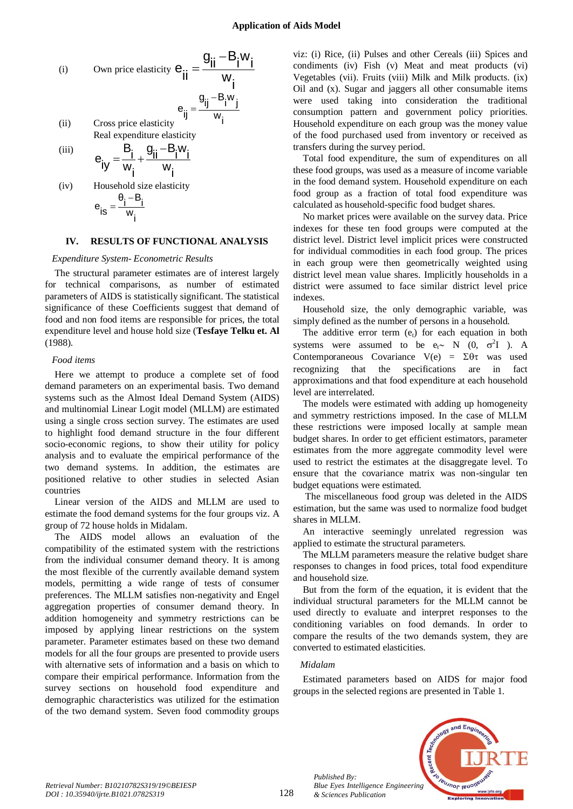(i) Own price elasticity 
$$
e_{ii} = \frac{g_{ii} - B_i w_i}{w_i}
$$
  
\n $e_{ij} = \frac{g_{ij} - B_i w_j}{w_i}$   
\n(ii) Cross price elasticity

(ii) Cross price elasticity Real expenditure elasticity

$$
\begin{array}{cc}\n\text{(iii)} & \mathbf{e}_{ij} = \frac{\mathbf{B}_i}{\mathbf{w}_i} + \frac{\mathbf{g}_{ii} - \mathbf{B}_i \mathbf{w}_i}{\mathbf{w}_i}\n\end{array}
$$

(iv) Household size elasticity i w θ<sub>i</sub> –B<sub>i</sub> e<sub>is</sub>  $=$ 

#### **IV. RESULTS OF FUNCTIONAL ANALYSIS**

#### *Expenditure System- Econometric Results*

The structural parameter estimates are of interest largely for technical comparisons, as number of estimated parameters of AIDS is statistically significant. The statistical significance of these Coefficients suggest that demand of food and non food items are responsible for prices, the total expenditure level and house hold size (**Tesfaye Telku et. Al** (1988).

#### *Food items*

Here we attempt to produce a complete set of food demand parameters on an experimental basis. Two demand systems such as the Almost Ideal Demand System (AIDS) and multinomial Linear Logit model (MLLM) are estimated using a single cross section survey. The estimates are used to highlight food demand structure in the four different socio-economic regions, to show their utility for policy analysis and to evaluate the empirical performance of the two demand systems. In addition, the estimates are positioned relative to other studies in selected Asian countries

Linear version of the AIDS and MLLM are used to estimate the food demand systems for the four groups viz. A group of 72 house holds in Midalam.

The AIDS model allows an evaluation of the compatibility of the estimated system with the restrictions from the individual consumer demand theory. It is among the most flexible of the currently available demand system models, permitting a wide range of tests of consumer preferences. The MLLM satisfies non-negativity and Engel aggregation properties of consumer demand theory. In addition homogeneity and symmetry restrictions can be imposed by applying linear restrictions on the system parameter. Parameter estimates based on these two demand models for all the four groups are presented to provide users with alternative sets of information and a basis on which to compare their empirical performance. Information from the survey sections on household food expenditure and demographic characteristics was utilized for the estimation of the two demand system. Seven food commodity groups

viz: (i) Rice, (ii) Pulses and other Cereals (iii) Spices and condiments (iv) Fish (v) Meat and meat products (vi) Vegetables (vii). Fruits (viii) Milk and Milk products. (ix) Oil and (x). Sugar and jaggers all other consumable items were used taking into consideration the traditional consumption pattern and government policy priorities. Household expenditure on each group was the money value of the food purchased used from inventory or received as transfers during the survey period.

Total food expenditure, the sum of expenditures on all these food groups, was used as a measure of income variable in the food demand system. Household expenditure on each food group as a fraction of total food expenditure was calculated as household-specific food budget shares.

No market prices were available on the survey data. Price indexes for these ten food groups were computed at the district level. District level implicit prices were constructed for individual commodities in each food group. The prices in each group were then geometrically weighted using district level mean value shares. Implicitly households in a district were assumed to face similar district level price indexes.

Household size, the only demographic variable, was simply defined as the number of persons in a household.

The additive error term  $(e_t)$  for each equation in both systems were assumed to be  $e_t \sim N$  (0,  $\sigma^2 I$ ). A Contemporaneous Covariance  $V(e) = \Sigma \theta \tau$  was used recognizing that the specifications are in fact approximations and that food expenditure at each household level are interrelated.

The models were estimated with adding up homogeneity and symmetry restrictions imposed. In the case of MLLM these restrictions were imposed locally at sample mean budget shares. In order to get efficient estimators, parameter estimates from the more aggregate commodity level were used to restrict the estimates at the disaggregate level. To ensure that the covariance matrix was non-singular ten budget equations were estimated.

The miscellaneous food group was deleted in the AIDS estimation, but the same was used to normalize food budget shares in MLLM.

An interactive seemingly unrelated regression was applied to estimate the structural parameters.

The MLLM parameters measure the relative budget share responses to changes in food prices, total food expenditure and household size.

But from the form of the equation, it is evident that the individual structural parameters for the MLLM cannot be used directly to evaluate and interpret responses to the conditioning variables on food demands. In order to compare the results of the two demands system, they are converted to estimated elasticities.

#### *Midalam*

*Published By:*

*& Sciences Publication* 

Estimated parameters based on AIDS for major food groups in the selected regions are presented in Table 1.

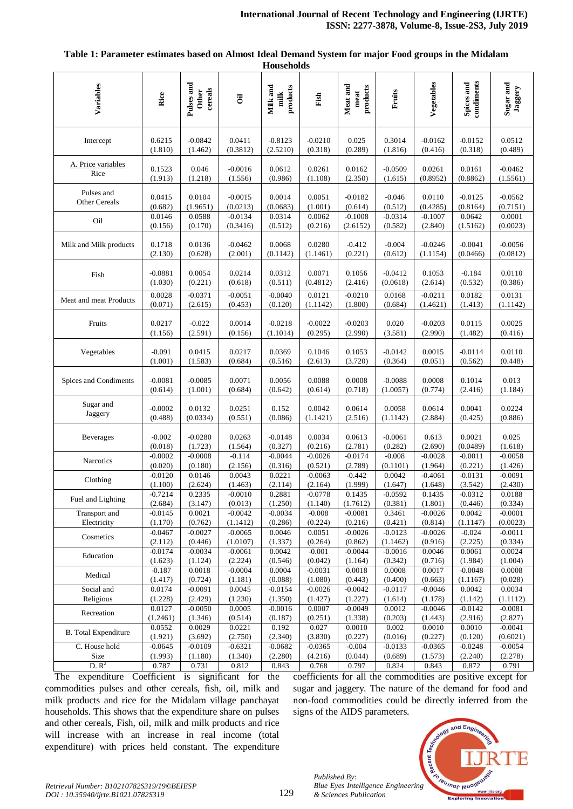| Variables                   | Rice      | Pulses and<br>cereals<br><b>Other</b> | $\overline{\mathbf{d}}$ | Milk and<br>products<br>milk | Fish      | Meat and<br>products<br>meat | Fruits    | Vegetables | Spices and<br>condiments | Sugar and<br>Jaggery |
|-----------------------------|-----------|---------------------------------------|-------------------------|------------------------------|-----------|------------------------------|-----------|------------|--------------------------|----------------------|
| Intercept                   | 0.6215    | $-0.0842$                             | 0.0411                  | $-0.8123$                    | $-0.0210$ | 0.025                        | 0.3014    | $-0.0162$  | $-0.0152$                | 0.0512               |
|                             | (1.810)   | (1.462)                               | (0.3812)                | (2.5210)                     | (0.318)   | (0.289)                      | (1.816)   | (0.416)    | (0.318)                  | (0.489)              |
| A. Price variables          | 0.1523    | 0.046                                 | $-0.0016$               | 0.0612                       | 0.0261    | 0.0162                       | $-0.0509$ | 0.0261     | 0.0161                   | $-0.0462$            |
| Rice                        | (1.913)   | (1.218)                               | (1.556)                 | (0.986)                      | (1.108)   | (2.350)                      | (1.615)   | (0.8952)   | (0.8862)                 | (1.5561)             |
| Pulses and                  | 0.0415    | 0.0104                                | $-0.0015$               | 0.0014                       | 0.0051    | $-0.0182$                    | $-0.046$  | 0.0110     | $-0.0125$                | $-0.0562$            |
| Other Cereals               | (0.682)   | (1.9651)                              | (0.0213)                | (0.0683)                     | (1.001)   | (0.614)                      | (0.512)   | (0.4285)   | (0.8164)                 | (0.7151)             |
| Oil                         | 0.0146    | 0.0588                                | $-0.0134$               | 0.0314                       | 0.0062    | $-0.1008$                    | $-0.0314$ | $-0.1007$  | 0.0642                   | 0.0001               |
|                             | (0.156)   | (0.170)                               | (0.3416)                | (0.512)                      | (0.216)   | (2.6152)                     | (0.582)   | (2.840)    | (1.5162)                 | (0.0023)             |
| Milk and Milk products      | 0.1718    | 0.0136                                | $-0.0462$               | 0.0068                       | 0.0280    | $-0.412$                     | $-0.004$  | $-0.0246$  | $-0.0041$                | $-0.0056$            |
|                             | (2.130)   | (0.628)                               | (2.001)                 | (0.1142)                     | (1.1461)  | (0.221)                      | (0.612)   | (1.1154)   | (0.0466)                 | (0.0812)             |
| Fish                        | $-0.0881$ | 0.0054                                | 0.0214                  | 0.0312                       | 0.0071    | 0.1056                       | $-0.0412$ | 0.1053     | $-0.184$                 | 0.0110               |
|                             | (1.030)   | (0.221)                               | (0.618)                 | (0.511)                      | (0.4812)  | (2.416)                      | (0.0618)  | (2.614)    | (0.532)                  | (0.386)              |
| Meat and meat Products      | 0.0028    | $-0.0371$                             | $-0.0051$               | $-0.0040$                    | 0.0121    | $-0.0210$                    | 0.0168    | $-0.0211$  | 0.0182                   | 0.0131               |
|                             | (0.071)   | (2.615)                               | (0.453)                 | (0.120)                      | (1.1142)  | (1.800)                      | (0.684)   | (1.4621)   | (1.413)                  | (1.1142)             |
| Fruits                      | 0.0217    | $-0.022$                              | 0.0014                  | $-0.0218$                    | $-0.0022$ | $-0.0203$                    | 0.020     | $-0.0203$  | 0.0115                   | 0.0025               |
|                             | (1.156)   | (2.591)                               | (0.156)                 | (1.1014)                     | (0.295)   | (2.990)                      | (3.581)   | (2.990)    | (1.482)                  | (0.416)              |
| Vegetables                  | $-0.091$  | 0.0415                                | 0.0217                  | 0.0369                       | 0.1046    | 0.1053                       | $-0.0142$ | 0.0015     | $-0.0114$                | 0.0110               |
|                             | (1.001)   | (1.583)                               | (0.684)                 | (0.516)                      | (2.613)   | (3.720)                      | (0.364)   | (0.051)    | (0.562)                  | (0.448)              |
| Spices and Condiments       | $-0.0081$ | $-0.0085$                             | 0.0071                  | 0.0056                       | 0.0088    | 0.0008                       | $-0.0088$ | 0.0008     | 0.1014                   | 0.013                |
|                             | (0.614)   | (1.001)                               | (0.684)                 | (0.642)                      | (0.614)   | (0.718)                      | (1.0057)  | (0.774)    | (2.416)                  | (1.184)              |
| Sugar and                   | $-0.0002$ | 0.0132                                | 0.0251                  | 0.152                        | 0.0042    | 0.0614                       | 0.0058    | 0.0614     | 0.0041                   | 0.0224               |
| Jaggery                     | (0.488)   | (0.0334)                              | (0.551)                 | (0.086)                      | (1.1421)  | (2.516)                      | (1.1142)  | (2.884)    | (0.425)                  | (0.886)              |
| Beverages                   | $-0.002$  | $-0.0280$                             | 0.0263                  | $-0.0148$                    | 0.0034    | 0.0613                       | $-0.0061$ | 0.613      | 0.0021                   | 0.025                |
|                             | (0.018)   | (1.723)                               | (1.564)                 | (0.327)                      | (0.216)   | (2.781)                      | (0.282)   | (2.690)    | (0.0489)                 | (1.618)              |
| Narcotics                   | $-0.0002$ | $-0.0008$                             | $-0.114$                | $-0.0044$                    | $-0.0026$ | $-0.0174$                    | $-0.008$  | $-0.0028$  | $-0.0011$                | $-0.0058$            |
|                             | (0.020)   | (0.180)                               | (2.156)                 | (0.316)                      | (0.521)   | (2.789)                      | (0.1101)  | (1.964)    | (0.221)                  | (1.426)              |
| Clothing                    | $-0.0120$ | 0.0146                                | 0.0043                  | 0.0221                       | $-0.0063$ | $-0.442$                     | 0.0042    | $-0.4061$  | $-0.0131$                | $-0.0091$            |
|                             | (1.100)   | (2.624)                               | (1.463)                 | (2.114)                      | (2.164)   | (1.999)                      | (1.647)   | (1.648)    | (3.542)                  | (2.430)              |
| Fuel and Lighting           | $-0.7214$ | 0.2335                                | $-0.0010$               | 0.2881                       | $-0.0778$ | 0.1435                       | $-0.0592$ | 0.1435     | $-0.0312$                | 0.0188               |
|                             | (2.684)   | (3.147)                               | (0.013)                 | (1.250)                      | (1.140)   | (1.7612)                     | (0.381)   | (1.801)    | (0.446)                  | (0.334)              |
| Transport and               | $-0.0145$ | 0.0021                                | $-0.0042$               | $-0.0034$                    | $-0.008$  | $-0.0081$                    | 0.3461    | $-0.0026$  | 0.0042                   | $-0.0001$            |
| Electricity                 | (1.170)   | (0.762)                               | (1.1412)                | (0.286)                      | (0.224)   | (0.216)                      | (0.421)   | (0.814)    | (1.1147)                 | (0.0023)             |
| Cosmetics                   | $-0.0467$ | $-0.0027$                             | $-0.0065$               | 0.0046                       | 0.0051    | $-0.0026$                    | $-0.0123$ | $-0.0026$  | $-0.024$                 | $-0.0011$            |
|                             | (2.112)   | (0.446)                               | (1.0107)                | (1.337)                      | (0.264)   | (0.862)                      | (1.1462)  | (0.916)    | (2.225)                  | (0.334)              |
| Education                   | $-0.0174$ | $-0.0034$                             | $-0.0061$               | 0.0042                       | $-0.001$  | $-0.0044$                    | $-0.0016$ | 0.0046     | 0.0061                   | 0.0024               |
|                             | (1.623)   | (1.124)                               | (2.224)                 | (0.546)                      | (0.042)   | (1.164)                      | (0.342)   | (0.716)    | (1.984)                  | (1.004)              |
| Medical                     | $-0.187$  | 0.0018                                | $-0.0004$               | 0.0004                       | $-0.0031$ | 0.0018                       | 0.0008    | 0.0017     | $-0.0048$                | 0.0008               |
|                             | (1.417)   | (0.724)                               | (1.181)                 | (0.088)                      | (1.080)   | (0.443)                      | (0.400)   | (0.663)    | (1.1167)                 | (0.028)              |
| Social and                  | 0.0174    | $-0.0091$                             | 0.0045                  | $-0.0154$                    | $-0.0026$ | $-0.0042$                    | $-0.0117$ | $-0.0046$  | 0.0042                   | 0.0034               |
| Religious                   | (1.228)   | (2.429)                               | (1.230)                 | (1.350)                      | (1.427)   | (1.227)                      | (1.614)   | (1.178)    | (1.142)                  | (1.1112)             |
| Recreation                  | 0.0127    | $-0.0050$                             | 0.0005                  | $-0.0016$                    | 0.0007    | $-0.0049$                    | 0.0012    | $-0.0046$  | $-0.0142$                | $-0.0081$            |
|                             | (1.2461)  | (1.346)                               | (0.514)                 | (0.187)                      | (0.251)   | (1.338)                      | (0.203)   | (1.443)    | (2.916)                  | (2.827)              |
| <b>B.</b> Total Expenditure | 0.0552    | 0.0029                                | 0.0221                  | 0.192                        | 0.027     | 0.0010                       | 0.002     | 0.0010     | 0.0010                   | $-0.0041$            |
|                             | (1.921)   | (3.692)                               | (2.750)                 | (2.340)                      | (3.830)   | (0.227)                      | (0.016)   | (0.227)    | (0.120)                  | (0.6021)             |
| C. House hold               | $-0.0645$ | $-0.0109$                             | $-0.6321$               | $-0.0682$                    | $-0.0365$ | $-0.004$                     | $-0.0133$ | $-0.0365$  | $-0.0248$                | $-0.0054$            |
| Size                        | (1.993)   | (1.180)                               | (1.340)                 | (2.280)                      | (4.216)   | (0.044)                      | (0.689)   | (1.573)    | (2.240)                  | (2.278)              |
| D. R <sup>2</sup>           | 0.787     | 0.731                                 | 0.812                   | 0.843                        | 0.768     | 0.797                        | 0.824     | 0.843      | 0.872                    | 0.791                |

**Table 1: Parameter estimates based on Almost Ideal Demand System for major Food groups in the Midalam Households**

The expenditure Coefficient is significant for the commodities pulses and other cereals, fish, oil, milk and milk products and rice for the Midalam village panchayat households. This shows that the expenditure share on pulses and other cereals, Fish, oil, milk and milk products and rice will increase with an increase in real income (total expenditure) with prices held constant. The expenditure coefficients for all the commodities are positive except for sugar and jaggery. The nature of the demand for food and non-food commodities could be directly inferred from the signs of the AIDS parameters.

and Eng



129